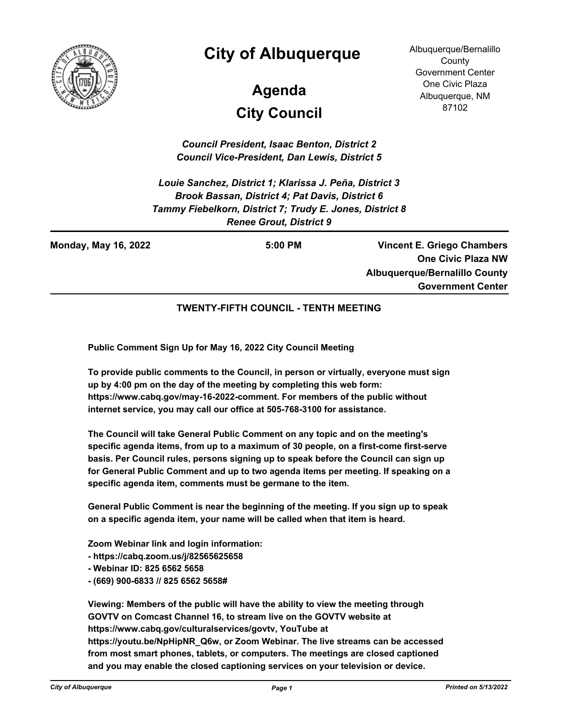

## **City of Albuquerque**

# **City Council Agenda**

Albuquerque/Bernalillo **County** Government Center One Civic Plaza Albuquerque, NM 87102

*Council President, Isaac Benton, District 2 Council Vice-President, Dan Lewis, District 5*

*Louie Sanchez, District 1; Klarissa J. Peña, District 3 Brook Bassan, District 4; Pat Davis, District 6 Tammy Fiebelkorn, District 7; Trudy E. Jones, District 8 Renee Grout, District 9*

**Vincent E. Griego Chambers One Civic Plaza NW Albuquerque/Bernalillo County Government Center Monday, May 16, 2022 5:00 PM**

#### **TWENTY-FIFTH COUNCIL - TENTH MEETING**

**Public Comment Sign Up for May 16, 2022 City Council Meeting**

**To provide public comments to the Council, in person or virtually, everyone must sign up by 4:00 pm on the day of the meeting by completing this web form: https://www.cabq.gov/may-16-2022-comment. For members of the public without internet service, you may call our office at 505-768-3100 for assistance.** 

**The Council will take General Public Comment on any topic and on the meeting's specific agenda items, from up to a maximum of 30 people, on a first-come first-serve basis. Per Council rules, persons signing up to speak before the Council can sign up for General Public Comment and up to two agenda items per meeting. If speaking on a specific agenda item, comments must be germane to the item.**

**General Public Comment is near the beginning of the meeting. If you sign up to speak on a specific agenda item, your name will be called when that item is heard.**

**Zoom Webinar link and login information:**

- **https://cabq.zoom.us/j/82565625658**
- **Webinar ID: 825 6562 5658**
- **(669) 900-6833 // 825 6562 5658#**

**Viewing: Members of the public will have the ability to view the meeting through GOVTV on Comcast Channel 16, to stream live on the GOVTV website at https://www.cabq.gov/culturalservices/govtv, YouTube at https://youtu.be/NpHipNR\_Q6w, or Zoom Webinar. The live streams can be accessed from most smart phones, tablets, or computers. The meetings are closed captioned and you may enable the closed captioning services on your television or device.**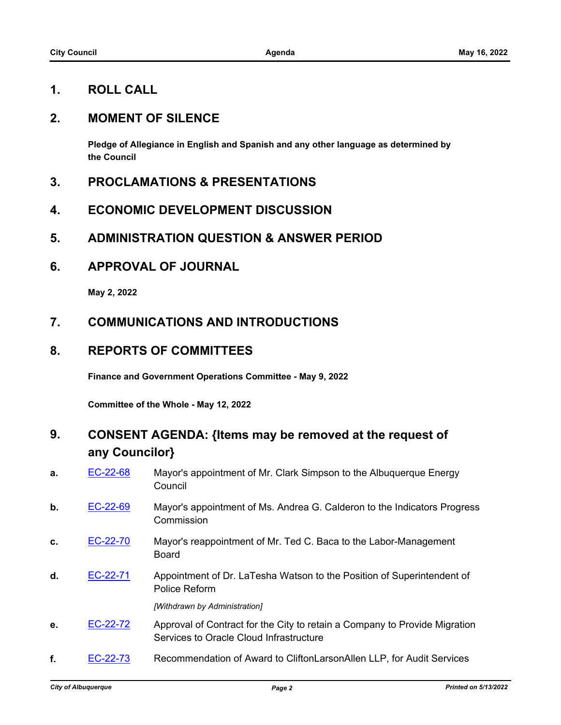### **1. ROLL CALL**

### **2. MOMENT OF SILENCE**

**Pledge of Allegiance in English and Spanish and any other language as determined by the Council**

- **3. PROCLAMATIONS & PRESENTATIONS**
- **4. ECONOMIC DEVELOPMENT DISCUSSION**
- **5. ADMINISTRATION QUESTION & ANSWER PERIOD**
- **6. APPROVAL OF JOURNAL**

**May 2, 2022**

### **7. COMMUNICATIONS AND INTRODUCTIONS**

### **8. REPORTS OF COMMITTEES**

**Finance and Government Operations Committee - May 9, 2022**

**Committee of the Whole - May 12, 2022**

### **9. CONSENT AGENDA: {Items may be removed at the request of any Councilor}**

- **a. [EC-22-68](http://cabq.legistar.com/gateway.aspx?m=l&id=/matter.aspx?key=12901)** Mayor's appointment of Mr. Clark Simpson to the Albuquerque Energy Council
- **b.** [EC-22-69](http://cabq.legistar.com/gateway.aspx?m=l&id=/matter.aspx?key=12903) Mayor's appointment of Ms. Andrea G. Calderon to the Indicators Progress **Commission**
- **c.** [EC-22-70](http://cabq.legistar.com/gateway.aspx?m=l&id=/matter.aspx?key=12904) Mayor's reappointment of Mr. Ted C. Baca to the Labor-Management Board
- **d.** [EC-22-71](http://cabq.legistar.com/gateway.aspx?m=l&id=/matter.aspx?key=12907) Appointment of Dr. LaTesha Watson to the Position of Superintendent of Police Reform

*[Withdrawn by Administration]*

- **e.** [EC-22-72](http://cabq.legistar.com/gateway.aspx?m=l&id=/matter.aspx?key=12908) Approval of Contract for the City to retain a Company to Provide Migration Services to Oracle Cloud Infrastructure
- **f.** [EC-22-73](http://cabq.legistar.com/gateway.aspx?m=l&id=/matter.aspx?key=12909) Recommendation of Award to CliftonLarsonAllen LLP, for Audit Services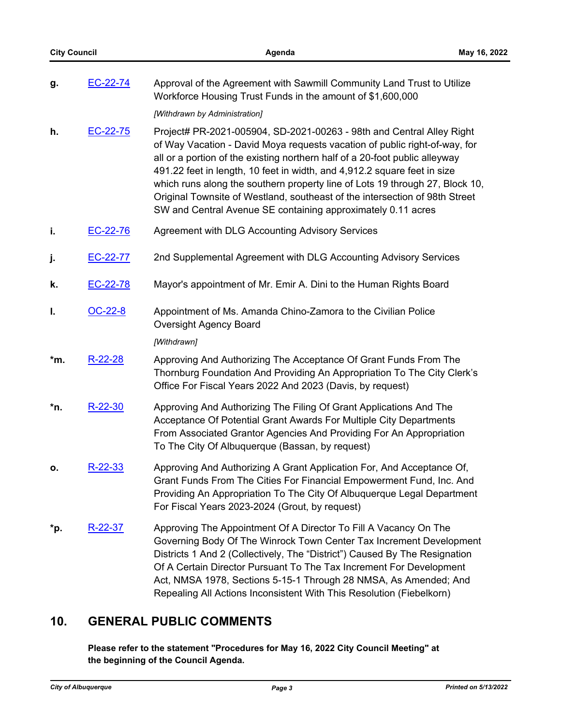| g.  | EC-22-74  | Approval of the Agreement with Sawmill Community Land Trust to Utilize<br>Workforce Housing Trust Funds in the amount of \$1,600,000                                                                                                                                                                                                                                                                                                                                                                                                          |
|-----|-----------|-----------------------------------------------------------------------------------------------------------------------------------------------------------------------------------------------------------------------------------------------------------------------------------------------------------------------------------------------------------------------------------------------------------------------------------------------------------------------------------------------------------------------------------------------|
|     |           | [Withdrawn by Administration]                                                                                                                                                                                                                                                                                                                                                                                                                                                                                                                 |
| h.  | EC-22-75  | Project# PR-2021-005904, SD-2021-00263 - 98th and Central Alley Right<br>of Way Vacation - David Moya requests vacation of public right-of-way, for<br>all or a portion of the existing northern half of a 20-foot public alleyway<br>491.22 feet in length, 10 feet in width, and 4,912.2 square feet in size<br>which runs along the southern property line of Lots 19 through 27, Block 10,<br>Original Townsite of Westland, southeast of the intersection of 98th Street<br>SW and Central Avenue SE containing approximately 0.11 acres |
| i.  | EC-22-76  | Agreement with DLG Accounting Advisory Services                                                                                                                                                                                                                                                                                                                                                                                                                                                                                               |
| j.  | EC-22-77  | 2nd Supplemental Agreement with DLG Accounting Advisory Services                                                                                                                                                                                                                                                                                                                                                                                                                                                                              |
| k.  | EC-22-78  | Mayor's appointment of Mr. Emir A. Dini to the Human Rights Board                                                                                                                                                                                                                                                                                                                                                                                                                                                                             |
| I.  | OC-22-8   | Appointment of Ms. Amanda Chino-Zamora to the Civilian Police<br><b>Oversight Agency Board</b>                                                                                                                                                                                                                                                                                                                                                                                                                                                |
|     |           | [Withdrawn]                                                                                                                                                                                                                                                                                                                                                                                                                                                                                                                                   |
| *m. | $R-22-28$ | Approving And Authorizing The Acceptance Of Grant Funds From The<br>Thornburg Foundation And Providing An Appropriation To The City Clerk's<br>Office For Fiscal Years 2022 And 2023 (Davis, by request)                                                                                                                                                                                                                                                                                                                                      |
| *n. | $R-22-30$ | Approving And Authorizing The Filing Of Grant Applications And The<br>Acceptance Of Potential Grant Awards For Multiple City Departments<br>From Associated Grantor Agencies And Providing For An Appropriation<br>To The City Of Albuquerque (Bassan, by request)                                                                                                                                                                                                                                                                            |
| о.  | $R-22-33$ | Approving And Authorizing A Grant Application For, And Acceptance Of,<br>Grant Funds From The Cities For Financial Empowerment Fund, Inc. And<br>Providing An Appropriation To The City Of Albuquerque Legal Department<br>For Fiscal Years 2023-2024 (Grout, by request)                                                                                                                                                                                                                                                                     |
| *p. | $R-22-37$ | Approving The Appointment Of A Director To Fill A Vacancy On The<br>Governing Body Of The Winrock Town Center Tax Increment Development<br>Districts 1 And 2 (Collectively, The "District") Caused By The Resignation<br>Of A Certain Director Pursuant To The Tax Increment For Development<br>Act, NMSA 1978, Sections 5-15-1 Through 28 NMSA, As Amended; And<br>Repealing All Actions Inconsistent With This Resolution (Fiebelkorn)                                                                                                      |

### **10. GENERAL PUBLIC COMMENTS**

**Please refer to the statement "Procedures for May 16, 2022 City Council Meeting" at the beginning of the Council Agenda.**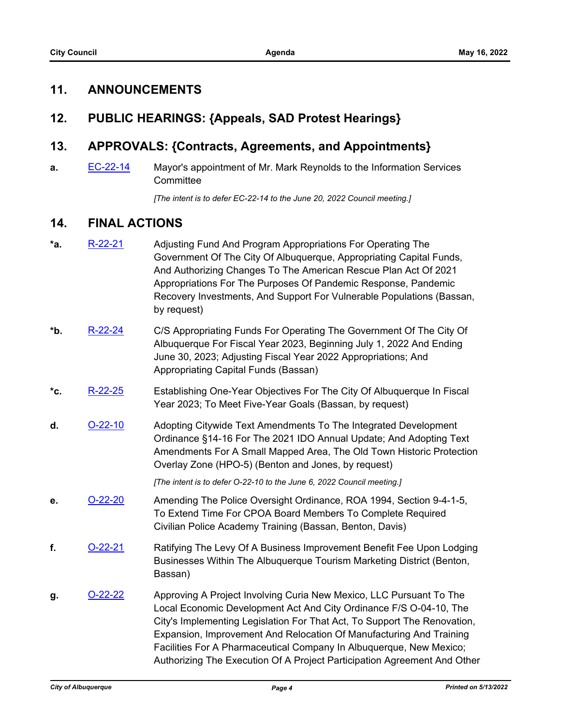### **11. ANNOUNCEMENTS**

### **12. PUBLIC HEARINGS: {Appeals, SAD Protest Hearings}**

### **13. APPROVALS: {Contracts, Agreements, and Appointments}**

**a.** [EC-22-14](http://cabq.legistar.com/gateway.aspx?m=l&id=/matter.aspx?key=12791) Mayor's appointment of Mr. Mark Reynolds to the Information Services **Committee** 

*[The intent is to defer EC-22-14 to the June 20, 2022 Council meeting.]*

### **14. FINAL ACTIONS**

- **\*a.** [R-22-21](http://cabq.legistar.com/gateway.aspx?m=l&id=/matter.aspx?key=12875) Adjusting Fund And Program Appropriations For Operating The Government Of The City Of Albuquerque, Appropriating Capital Funds, And Authorizing Changes To The American Rescue Plan Act Of 2021 Appropriations For The Purposes Of Pandemic Response, Pandemic Recovery Investments, And Support For Vulnerable Populations (Bassan, by request)
- **\*b.** [R-22-24](http://cabq.legistar.com/gateway.aspx?m=l&id=/matter.aspx?key=12884) C/S Appropriating Funds For Operating The Government Of The City Of Albuquerque For Fiscal Year 2023, Beginning July 1, 2022 And Ending June 30, 2023; Adjusting Fiscal Year 2022 Appropriations; And Appropriating Capital Funds (Bassan)
- **\*c.** [R-22-25](http://cabq.legistar.com/gateway.aspx?m=l&id=/matter.aspx?key=12885) Establishing One-Year Objectives For The City Of Albuquerque In Fiscal Year 2023; To Meet Five-Year Goals (Bassan, by request)
- **d.** [O-22-10](http://cabq.legistar.com/gateway.aspx?m=l&id=/matter.aspx?key=12818) Adopting Citywide Text Amendments To The Integrated Development Ordinance §14-16 For The 2021 IDO Annual Update; And Adopting Text Amendments For A Small Mapped Area, The Old Town Historic Protection Overlay Zone (HPO-5) (Benton and Jones, by request)

*[The intent is to defer O-22-10 to the June 6, 2022 Council meeting.]*

- **e.** [O-22-20](http://cabq.legistar.com/gateway.aspx?m=l&id=/matter.aspx?key=12915) Amending The Police Oversight Ordinance, ROA 1994, Section 9-4-1-5, To Extend Time For CPOA Board Members To Complete Required Civilian Police Academy Training (Bassan, Benton, Davis)
- **f.** [O-22-21](http://cabq.legistar.com/gateway.aspx?m=l&id=/matter.aspx?key=12916) Ratifying The Levy Of A Business Improvement Benefit Fee Upon Lodging Businesses Within The Albuquerque Tourism Marketing District (Benton, Bassan)
- **g. [O-22-22](http://cabq.legistar.com/gateway.aspx?m=l&id=/matter.aspx?key=12917)** Approving A Project Involving Curia New Mexico, LLC Pursuant To The Local Economic Development Act And City Ordinance F/S O-04-10, The City's Implementing Legislation For That Act, To Support The Renovation, Expansion, Improvement And Relocation Of Manufacturing And Training Facilities For A Pharmaceutical Company In Albuquerque, New Mexico; Authorizing The Execution Of A Project Participation Agreement And Other